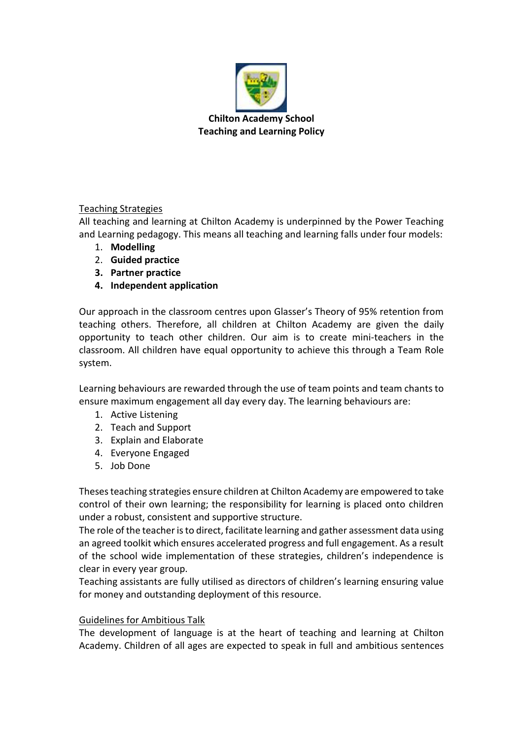

# Teaching Strategies

All teaching and learning at Chilton Academy is underpinned by the Power Teaching and Learning pedagogy. This means all teaching and learning falls under four models:

- 1. **Modelling**
- 2. **Guided practice**
- **3. Partner practice**
- **4. Independent application**

Our approach in the classroom centres upon Glasser's Theory of 95% retention from teaching others. Therefore, all children at Chilton Academy are given the daily opportunity to teach other children. Our aim is to create mini-teachers in the classroom. All children have equal opportunity to achieve this through a Team Role system.

Learning behaviours are rewarded through the use of team points and team chants to ensure maximum engagement all day every day. The learning behaviours are:

- 1. Active Listening
- 2. Teach and Support
- 3. Explain and Elaborate
- 4. Everyone Engaged
- 5. Job Done

Theses teaching strategies ensure children at Chilton Academy are empowered to take control of their own learning; the responsibility for learning is placed onto children under a robust, consistent and supportive structure.

The role of the teacher is to direct, facilitate learning and gather assessment data using an agreed toolkit which ensures accelerated progress and full engagement. As a result of the school wide implementation of these strategies, children's independence is clear in every year group.

Teaching assistants are fully utilised as directors of children's learning ensuring value for money and outstanding deployment of this resource.

## Guidelines for Ambitious Talk

The development of language is at the heart of teaching and learning at Chilton Academy. Children of all ages are expected to speak in full and ambitious sentences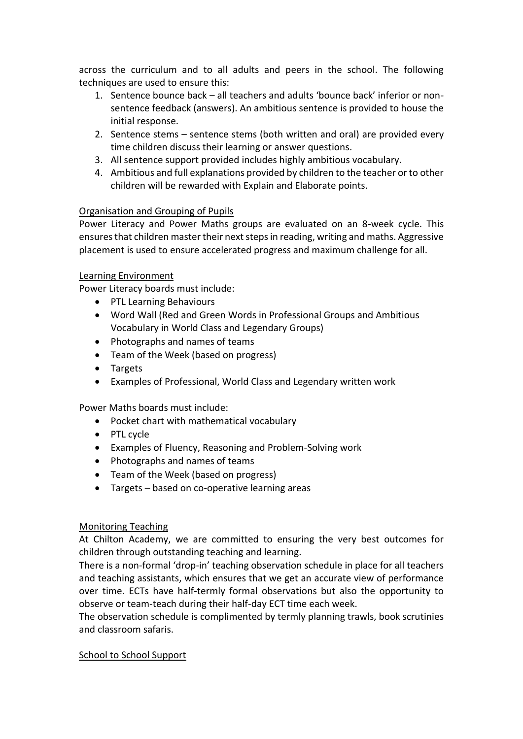across the curriculum and to all adults and peers in the school. The following techniques are used to ensure this:

- 1. Sentence bounce back all teachers and adults 'bounce back' inferior or nonsentence feedback (answers). An ambitious sentence is provided to house the initial response.
- 2. Sentence stems sentence stems (both written and oral) are provided every time children discuss their learning or answer questions.
- 3. All sentence support provided includes highly ambitious vocabulary.
- 4. Ambitious and full explanations provided by children to the teacher or to other children will be rewarded with Explain and Elaborate points.

## Organisation and Grouping of Pupils

Power Literacy and Power Maths groups are evaluated on an 8-week cycle. This ensures that children master their next steps in reading, writing and maths. Aggressive placement is used to ensure accelerated progress and maximum challenge for all.

## Learning Environment

Power Literacy boards must include:

- PTL Learning Behaviours
- Word Wall (Red and Green Words in Professional Groups and Ambitious Vocabulary in World Class and Legendary Groups)
- Photographs and names of teams
- Team of the Week (based on progress)
- Targets
- Examples of Professional, World Class and Legendary written work

Power Maths boards must include:

- Pocket chart with mathematical vocabulary
- PTL cycle
- Examples of Fluency, Reasoning and Problem-Solving work
- Photographs and names of teams
- Team of the Week (based on progress)
- Targets based on co-operative learning areas

## Monitoring Teaching

At Chilton Academy, we are committed to ensuring the very best outcomes for children through outstanding teaching and learning.

There is a non-formal 'drop-in' teaching observation schedule in place for all teachers and teaching assistants, which ensures that we get an accurate view of performance over time. ECTs have half-termly formal observations but also the opportunity to observe or team-teach during their half-day ECT time each week.

The observation schedule is complimented by termly planning trawls, book scrutinies and classroom safaris.

## School to School Support